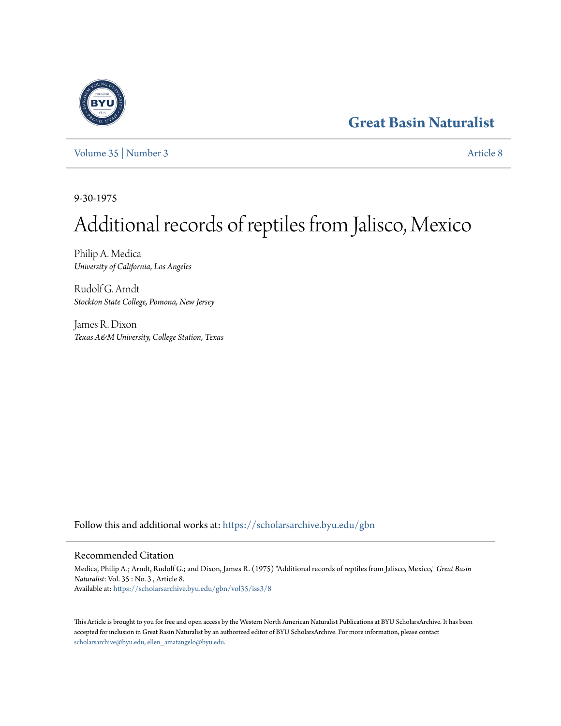## **[Great Basin Naturalist](https://scholarsarchive.byu.edu/gbn?utm_source=scholarsarchive.byu.edu%2Fgbn%2Fvol35%2Fiss3%2F8&utm_medium=PDF&utm_campaign=PDFCoverPages)**



[Volume 35](https://scholarsarchive.byu.edu/gbn/vol35?utm_source=scholarsarchive.byu.edu%2Fgbn%2Fvol35%2Fiss3%2F8&utm_medium=PDF&utm_campaign=PDFCoverPages) | [Number 3](https://scholarsarchive.byu.edu/gbn/vol35/iss3?utm_source=scholarsarchive.byu.edu%2Fgbn%2Fvol35%2Fiss3%2F8&utm_medium=PDF&utm_campaign=PDFCoverPages) [Article 8](https://scholarsarchive.byu.edu/gbn/vol35/iss3/8?utm_source=scholarsarchive.byu.edu%2Fgbn%2Fvol35%2Fiss3%2F8&utm_medium=PDF&utm_campaign=PDFCoverPages)

9-30-1975

# Additional records of reptiles from Jalisco, Mexico

Philip A. Medica *University of California, Los Angeles*

Rudolf G. Arndt *Stockton State College, Pomona, New Jersey*

James R. Dixon *Texas A&M University, College Station, Texas*

Follow this and additional works at: [https://scholarsarchive.byu.edu/gbn](https://scholarsarchive.byu.edu/gbn?utm_source=scholarsarchive.byu.edu%2Fgbn%2Fvol35%2Fiss3%2F8&utm_medium=PDF&utm_campaign=PDFCoverPages)

## Recommended Citation

Medica, Philip A.; Arndt, Rudolf G.; and Dixon, James R. (1975) "Additional records of reptiles from Jalisco, Mexico," *Great Basin Naturalist*: Vol. 35 : No. 3 , Article 8. Available at: [https://scholarsarchive.byu.edu/gbn/vol35/iss3/8](https://scholarsarchive.byu.edu/gbn/vol35/iss3/8?utm_source=scholarsarchive.byu.edu%2Fgbn%2Fvol35%2Fiss3%2F8&utm_medium=PDF&utm_campaign=PDFCoverPages)

This Article is brought to you for free and open access by the Western North American Naturalist Publications at BYU ScholarsArchive. It has been accepted for inclusion in Great Basin Naturalist by an authorized editor of BYU ScholarsArchive. For more information, please contact [scholarsarchive@byu.edu, ellen\\_amatangelo@byu.edu.](mailto:scholarsarchive@byu.edu,%20ellen_amatangelo@byu.edu)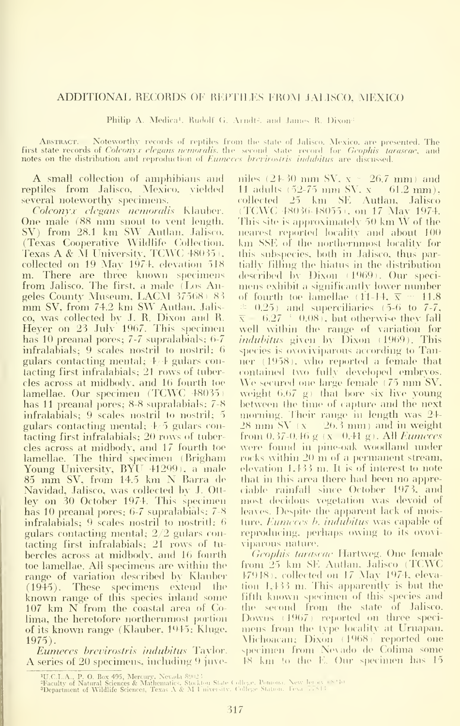### ADDITIONAL RECORDS OF REPTILES FROM JALISCO. MEXICO

Philip A. Medica'. Rudolf G. Arndt<sup>2</sup>. and James R. Dixon<sup>3</sup>

ABSTRACT.— Noteworthy records of reptiles from the first state records of Coleonyx clegaus nemoralis, the second<br>notes on the distribution and reproduction of *Eumeces bret* Jalisco. Mexico. are presented. The<br>record for *Geophis tarascae*, and<br>*indubitus* are discussed.

**A** small collection of amphibians and miles  $(2+30 \text{ mm} \text{ SV}, x = 26.7 \text{ mm})$  and reptiles from Jalisco, Mexico, vielded several noteworthy specimens.

Coleonyx elegans nemoralis Klauber. One male (88 mm snout to vent length. SV) from 28.1 km SW Autlan, Jalisco. (Texas Cooperative Wildlife Collection, Texas A & M University, TCWC 48035). collected on <sup>19</sup> May 1974. elevation 518 m. There are three known specimens from Jalisco. The first, a male (Los Angeles Coimty Musemn, LACM <sup>37568</sup> ) <sup>83</sup> mm SV, from 74.2 km SW Antlan. Jalisco, was collected by J.R. Dixon and R. Heyer on 23 July 1967. This specimen has 10 preanal pores; 7-7 supralabials; 6-7 infralabials; 9 scales nostril to nostril; gulars contacting mental; 4/4 gulars contacting first infralabials; 21 rows of tubercles across at midbody, and 16 fourth toe lamellae. Our specimen (TCWC 48035) has 11 preanal pores; 8-8 supralabials; 7-8 infralabials; 9 scales nostril to nostril; 5 gulars contacting mental;  $\pm 5$  gulars contacting first infralabials; 20 rows of tuber cles across at midbody, and 17 fourth toe lamellae. The third specimen (Brigham Young University, BYU 41299), a male <sup>85</sup> mm SV, from 14.5 km N Barra de Navidad, Jalisco, was collected by J. Ott ley on 30 October 1974. This spetimen has 10 preanal pores; 6-7 supralabials; 7-8 infralabials; 9 scales nostril to nostritl;  $6$ gulars contacting mental; 2/2 gulars contacting first infralabials; 21 rows of tu bercles across at midbody, and 16 fourth toe lamellae. All specimens are within the range of variation described by Klauber (1945). These specimens extend the  $\mathfrak h$ known range of this species inland some  $107$  km  $N$  from the coastal area of Colima, the heretofore northenmiost portion of its known range (Klauber. 1945; Kluge. 1975).

Eumeces brevirostris indubitus Taylor. A series of 20 specimens, including 9 juve-

11 adults (52-75 mm SV,  $x = 61.2$  mm), collected 25 km SE Autlan, Jalisco (TCWC 48036-48055), on 17 May 1974. (TOWG 48050-48055), on 17 May 1974.<br>This site is approximately 50 km W of the<br>nearest reported locality and about 100 km SSE of the northernmost locality for this subspecies, both in Jalisco, thus partially filling the hiatus in the distribution described by Dixon (1969). Our specimens exhibit a significantly lower number of fourth toe lamellae (11-14.  $\overline{x} = 11.8$  $\approx$  0.25) and superciliaries (5-6 to 7-7,  $6.27 + 0.08$  I, but otherwise they fall well within the range of variation for *indubitus* given by Dixon (1969). This species is ovoviviparous according to Tanner  $(1958)$ , who reported a female that contained two fully developed embryos. We secured one large female  $(75 \text{ mm SV.})$ weight  $(6.67 \text{ g})$  that bore six live young between the time of capture and the next morning. Their range in length was 24- $28 \text{ mm}$  SV (x  $-26.3 \text{ mm}$ ) and in weight from  $0.37-0.46$  g (x  $0.41$  g). All *Eumeces* were found in pine-oak woodland under rocks within 20 m of a permanent stream, elevation 1.433 m. It is of interest to note that in this area there had been no appreciable rainfall since October 1973, and most decidous vegetation was devoid of leaves. Despite the apparent lack of moisture, *Eunicces b. indubitus* was capable of reproducing, perhaps owing to its ovovi-\iparous nature.

Geophis tarascae Hartweg. One female from 25 km SE Autlan, Jalisco (TCWC 17918), collected on 17 May 1974, elevation  $1,133$  m. This apparently is but the Fifth known sj)ecimen oF this species and the second from the state of Jalisco. Downs (1967) reported on three specimens from the type locality at Uruapan, Nichoacan; Dixon (1968) reported one specimen from Nevado de Cofima some  $F<sub>18</sub>$  km to the E. Our specimen has  $15$ 

<sup>4</sup>U.C.I..A., P. O. Box 495, Mercury, Xevada 8902 !<br><del>Tac</del>ulty of Natural Sciences & Mathematics, Stocklon State College, Pontona, New Jer.ay (S<sup>ei</sup>t)<br>**Department of Wildlife Sciences, Texas A & M I** niversity, College Statio